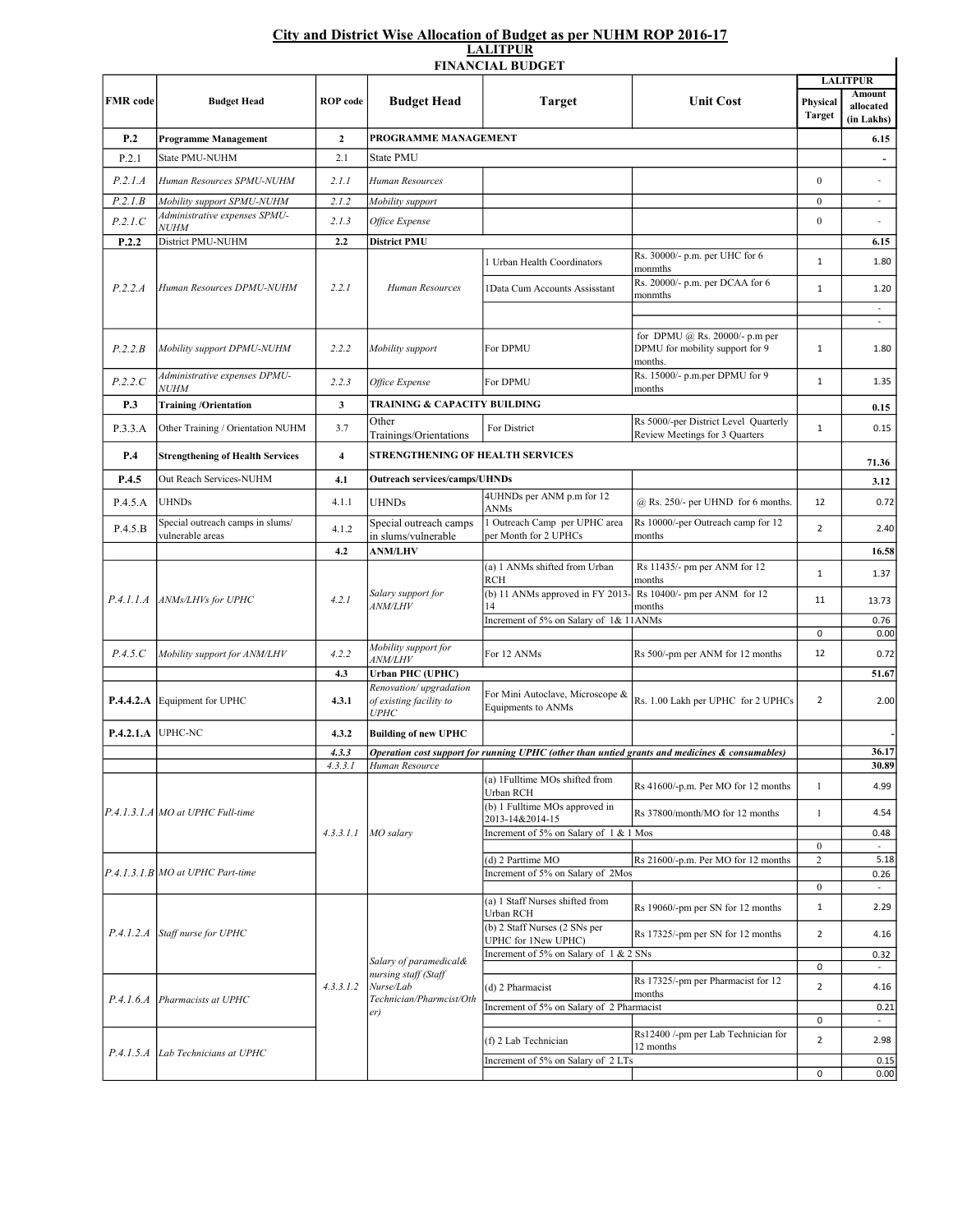## City and District Wise Allocation of Budget as per NUHM ROP 2016-17 LALITPUR

|                 |                                                                         |                         |                                                                                                | <b>FINANCIAL BUDGET</b>                                                         |                                                                                                | <b>LALITPUR</b>              |                                          |
|-----------------|-------------------------------------------------------------------------|-------------------------|------------------------------------------------------------------------------------------------|---------------------------------------------------------------------------------|------------------------------------------------------------------------------------------------|------------------------------|------------------------------------------|
| <b>FMR</b> code | <b>Budget Head</b>                                                      | <b>ROP</b> code         | <b>Budget Head</b>                                                                             | <b>Target</b>                                                                   | <b>Unit Cost</b>                                                                               | Physical<br>Target           | <b>Amount</b><br>allocated<br>(in Lakhs) |
| P.2             | <b>Programme Management</b>                                             | $\boldsymbol{2}$        | PROGRAMME MANAGEMENT                                                                           |                                                                                 |                                                                                                |                              | 6.15                                     |
| P.2.1           | State PMU-NUHM                                                          | 2.1                     | State PMU                                                                                      |                                                                                 |                                                                                                |                              |                                          |
| P.2.1.A         | Human Resources SPMU-NUHM                                               | 2.1.1                   | Human Resources                                                                                |                                                                                 |                                                                                                | $\overline{0}$               |                                          |
| P.2.1.B         | Mobility support SPMU-NUHM                                              | 2.1.2                   | Mobility support                                                                               |                                                                                 |                                                                                                | $\mathbf{0}$                 | $\blacksquare$                           |
| P.2.1.C         | Administrative expenses SPMU-<br><i>NUHM</i>                            | 2.1.3                   | Office Expense                                                                                 |                                                                                 |                                                                                                | $\boldsymbol{0}$             |                                          |
| P.2.2           | District PMU-NUHM                                                       | 2.2                     | District PMU                                                                                   |                                                                                 |                                                                                                |                              | 6.15                                     |
| P.2.2.A         | Human Resources DPMU-NUHM                                               | 2.2.1                   | Human Resources                                                                                | l Urban Health Coordinators                                                     | Rs. 30000/- p.m. per UHC for 6<br>monmths                                                      | $\mathbf{1}$                 | 1.80                                     |
|                 |                                                                         |                         |                                                                                                | <b>IData Cum Accounts Assisstant</b>                                            | Rs. 20000/- p.m. per DCAA for 6<br>monmths                                                     | $\mathbf{1}$                 | 1.20                                     |
| P.2.2.B         | Mobility support DPMU-NUHM                                              | 2.2.2                   | Mobility support                                                                               | For DPMU                                                                        | for DPMU @ Rs. 20000/- p.m per<br>DPMU for mobility support for 9<br>months.                   | $\mathbf{1}$                 | $\overline{\phantom{a}}$<br>1.80         |
| P.2.2.C         | Administrative expenses DPMU-<br><b>NUHM</b>                            | 2.2.3                   | Office Expense                                                                                 | For DPMU                                                                        | Rs. 15000/- p.m.per DPMU for 9<br>months                                                       | $\mathbf{1}$                 | 1.35                                     |
| P.3             | <b>Training/Orientation</b>                                             | 3                       | TRAINING & CAPACITY BUILDING                                                                   |                                                                                 |                                                                                                |                              | 0.15                                     |
| P.3.3.A         | Other Training / Orientation NUHM                                       | 3.7                     | Other<br>Trainings/Orientations                                                                | For District                                                                    | Rs 5000/-per District Level Quarterly<br>Review Meetings for 3 Quarters                        | $\mathbf{1}$                 | 0.15                                     |
| P.4             | <b>Strengthening of Health Services</b>                                 | $\overline{\mathbf{4}}$ | STRENGTHENING OF HEALTH SERVICES                                                               |                                                                                 |                                                                                                |                              | 71.36                                    |
| P.4.5           | Out Reach Services-NUHM                                                 | 4.1                     | <b>Outreach services/camps/UHNDs</b>                                                           |                                                                                 |                                                                                                |                              | 3.12                                     |
| P.4.5.A         | <b>UHNDs</b>                                                            | 4.1.1                   | <b>UHNDs</b>                                                                                   | 4UHNDs per ANM p.m for 12<br>ANMs                                               | $@$ Rs. 250/- per UHND for 6 months.                                                           | 12                           | 0.72                                     |
| P.4.5.B         | Special outreach camps in slums/<br>vulnerable areas                    | 4.1.2                   | Special outreach camps<br>in slums/vulnerable                                                  | 1 Outreach Camp per UPHC area<br>per Month for 2 UPHCs                          | Rs 10000/-per Outreach camp for 12<br>months                                                   | $\overline{2}$               | 2.40                                     |
|                 |                                                                         | 4.2                     | <b>ANM/LHV</b>                                                                                 |                                                                                 |                                                                                                |                              | 16.58                                    |
| P.4.1.1.A       | ANMs/LHVs for UPHC                                                      | 4.2.1                   | Salary support for<br><i>ANM/LHV</i>                                                           | (a) 1 ANMs shifted from Urban<br><b>RCH</b><br>(b) 11 ANMs approved in FY 2013- | Rs 11435/- pm per ANM for 12<br>months<br>Rs 10400/- pm per ANM for 12                         | $\mathbf{1}$                 | 1.37                                     |
|                 |                                                                         |                         |                                                                                                | 14<br>Increment of 5% on Salary of 1& 11ANMs                                    | months                                                                                         | 11                           | 13.73                                    |
|                 |                                                                         |                         |                                                                                                |                                                                                 |                                                                                                | $\mathbf 0$                  | 0.76<br>0.00                             |
| P.4.5.C         | Mobility support for ANM/LHV                                            | 4.2.2                   | Mobility support for<br><i>ANM/LHV</i>                                                         | For 12 ANMs                                                                     | Rs 500/-pm per ANM for 12 months                                                               | 12                           | 0.72                                     |
|                 |                                                                         | 4.3                     | <b>Urban PHC (UPHC)</b>                                                                        |                                                                                 |                                                                                                |                              | 51.67                                    |
| P.4.4.2.A       | Equipment for UPHC                                                      | 4.3.1                   | Renovation/upgradation<br>of existing facility to<br><i><b>UPHC</b></i>                        | For Mini Autoclave, Microscope &<br>Equipments to ANMs                          | Rs. 1.00 Lakh per UPHC for 2 UPHCs                                                             | $\overline{2}$               | 2.00                                     |
| P.4.2.1.A       | UPHC-NC                                                                 | 4.3.2                   | <b>Building of new UPHC</b>                                                                    |                                                                                 |                                                                                                |                              |                                          |
|                 |                                                                         | 4.3.3                   |                                                                                                |                                                                                 | Operation cost support for running UPHC (other than untied grants and medicines & consumables) |                              | 36.17                                    |
|                 |                                                                         | 4.3.3.1                 | Human Resource                                                                                 | (a) 1Fulltime MOs shifted from                                                  |                                                                                                |                              | 30.89                                    |
|                 | P.4.1.3.1.A MO at UPHC Full-time<br>$[P.4.1.3.1.B]MO$ at UPHC Part-time | 4.3.3.1.1               | MO salary                                                                                      | Urban RCH<br>(b) 1 Fulltime MOs approved in                                     | Rs 41600/-p.m. Per MO for 12 months<br>Rs 37800/month/MO for 12 months                         | $\mathbf{1}$<br>$\mathbf{1}$ | 4.99<br>4.54                             |
|                 |                                                                         |                         |                                                                                                | 2013-14&2014-15<br>Increment of 5% on Salary of 1 & 1 Mos                       |                                                                                                |                              |                                          |
|                 |                                                                         |                         |                                                                                                |                                                                                 |                                                                                                | $\boldsymbol{0}$             | 0.48<br>$\sim$                           |
|                 |                                                                         |                         |                                                                                                | (d) 2 Parttime MO<br>Increment of 5% on Salary of 2Mos                          | Rs 21600/-p.m. Per MO for 12 months                                                            | $\overline{c}$               | 5.18                                     |
|                 |                                                                         |                         |                                                                                                |                                                                                 |                                                                                                | $\mathbf{0}$                 | 0.26<br>$\sim$                           |
|                 | P.4.1.2.A Staff nurse for UPHC                                          | 4.3.3.1.2               | Salary of paramedical&<br>nursing staff (Staff<br>Nurse/Lab<br>Technician/Pharmcist/Oth<br>er) | (a) 1 Staff Nurses shifted from<br>Urban RCH                                    | Rs 19060/-pm per SN for 12 months                                                              | $\mathbf{1}$                 | 2.29                                     |
|                 |                                                                         |                         |                                                                                                | (b) 2 Staff Nurses (2 SNs per<br>UPHC for 1New UPHC)                            | Rs 17325/-pm per SN for 12 months                                                              | $\overline{2}$               | 4.16                                     |
|                 |                                                                         |                         |                                                                                                | Increment of 5% on Salary of 1 & 2 SNs                                          |                                                                                                | 0                            | 0.32<br>$\sim$                           |
| P.4.1.6.4       | Pharmacists at UPHC                                                     |                         |                                                                                                | (d) 2 Pharmacist                                                                | Rs 17325/-pm per Pharmacist for 12<br>months                                                   | $\overline{2}$               | 4.16                                     |
|                 |                                                                         |                         |                                                                                                | Increment of 5% on Salary of 2 Pharmacist                                       |                                                                                                |                              | 0.21                                     |
|                 |                                                                         |                         |                                                                                                | (f) 2 Lab Technician                                                            | Rs12400 /-pm per Lab Technician for<br>12 months                                               | 0<br>$\overline{2}$          | 2.98                                     |
|                 | P.4.1.5.A   Lab Technicians at UPHC                                     |                         |                                                                                                | Increment of 5% on Salary of 2 LTs                                              |                                                                                                |                              | 0.15                                     |
|                 |                                                                         |                         |                                                                                                |                                                                                 |                                                                                                | 0                            | 0.00                                     |